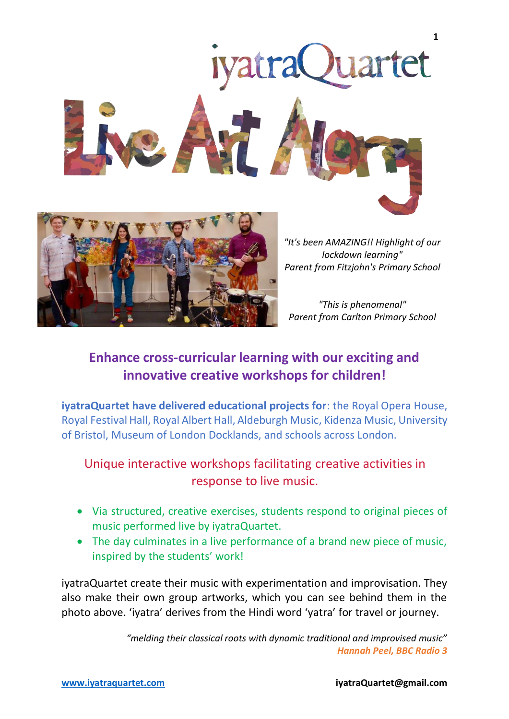



*"It's been AMAZING!! Highlight of our lockdown learning" Parent from Fitzjohn's Primary School*

*"This is phenomenal" Parent from Carlton Primary School*

# **Enhance cross-curricular learning with our exciting and innovative creative workshops for children!**

**iyatraQuartet have delivered educational projects for**: the Royal Opera House, Royal Festival Hall, Royal Albert Hall, Aldeburgh Music, Kidenza Music, University of Bristol, Museum of London Docklands, and schools across London.

# Unique interactive workshops facilitating creative activities in response to live music.

- Via structured, creative exercises, students respond to original pieces of music performed live by iyatraQuartet.
- The day culminates in a live performance of a brand new piece of music, inspired by the students' work!

iyatraQuartet create their music with experimentation and improvisation. They also make their own group artworks, which you can see behind them in the photo above. 'iyatra' derives from the Hindi word 'yatra' for travel or journey.

> *"melding their classical roots with dynamic traditional and improvised music" Hannah Peel, BBC Radio 3*